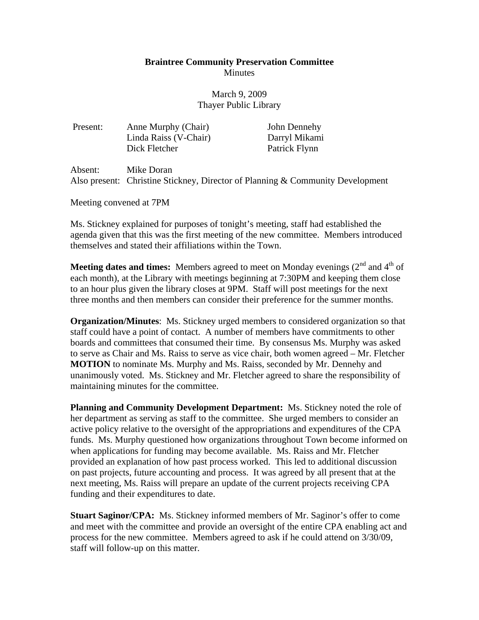## **Braintree Community Preservation Committee Minutes**

March 9, 2009 Thayer Public Library

| Present: | Anne Murphy (Chair)   | John Dennehy  |
|----------|-----------------------|---------------|
|          | Linda Raiss (V-Chair) | Darryl Mikami |
|          | Dick Fletcher         | Patrick Flynn |
|          |                       |               |

Absent: Mike Doran Also present: Christine Stickney, Director of Planning & Community Development

Meeting convened at 7PM

Ms. Stickney explained for purposes of tonight's meeting, staff had established the agenda given that this was the first meeting of the new committee. Members introduced themselves and stated their affiliations within the Town.

**Meeting dates and times:** Members agreed to meet on Monday evenings (2<sup>nd</sup> and 4<sup>th</sup> of each month), at the Library with meetings beginning at 7:30PM and keeping them close to an hour plus given the library closes at 9PM. Staff will post meetings for the next three months and then members can consider their preference for the summer months.

**Organization/Minutes**: Ms. Stickney urged members to considered organization so that staff could have a point of contact. A number of members have commitments to other boards and committees that consumed their time. By consensus Ms. Murphy was asked to serve as Chair and Ms. Raiss to serve as vice chair, both women agreed – Mr. Fletcher **MOTION** to nominate Ms. Murphy and Ms. Raiss, seconded by Mr. Dennehy and unanimously voted. Ms. Stickney and Mr. Fletcher agreed to share the responsibility of maintaining minutes for the committee.

**Planning and Community Development Department:** Ms. Stickney noted the role of her department as serving as staff to the committee. She urged members to consider an active policy relative to the oversight of the appropriations and expenditures of the CPA funds. Ms. Murphy questioned how organizations throughout Town become informed on when applications for funding may become available. Ms. Raiss and Mr. Fletcher provided an explanation of how past process worked. This led to additional discussion on past projects, future accounting and process. It was agreed by all present that at the next meeting, Ms. Raiss will prepare an update of the current projects receiving CPA funding and their expenditures to date.

**Stuart Saginor/CPA:** Ms. Stickney informed members of Mr. Saginor's offer to come and meet with the committee and provide an oversight of the entire CPA enabling act and process for the new committee. Members agreed to ask if he could attend on 3/30/09, staff will follow-up on this matter.